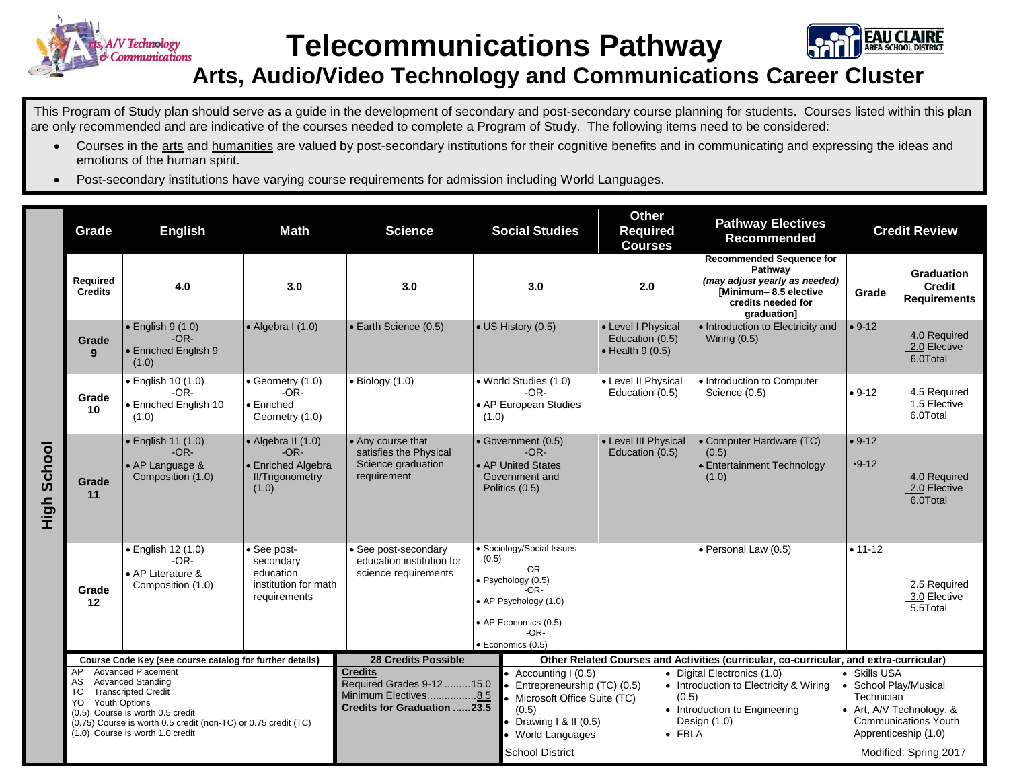

**Telecommunications Pathway**



## **Arts, Audio/Video Technology and Communications Career Cluster**

This Program of Study plan should serve as a guide in the development of secondary and post-secondary course planning for students. Courses listed within this plan are only recommended and are indicative of the courses needed to complete a Program of Study. The following items need to be considered:

- Courses in the arts and humanities are valued by post-secondary institutions for their cognitive benefits and in communicating and expressing the ideas and emotions of the human spirit.
- Post-secondary institutions have varying course requirements for admission including World Languages.

|             | Grade                                                                                                                                                                                                                                                                   | <b>English</b>                                                         | <b>Math</b>                                                                                   | <b>Science</b>                                                                                                                                                                                                                                                    | <b>Social Studies</b>                                                                                                                                              | <b>Other</b><br><b>Required</b><br><b>Courses</b>                                                                                                 | <b>Pathway Electives</b><br><b>Recommended</b>                                                                                            |                            | <b>Credit Review</b>                                                                                                              |
|-------------|-------------------------------------------------------------------------------------------------------------------------------------------------------------------------------------------------------------------------------------------------------------------------|------------------------------------------------------------------------|-----------------------------------------------------------------------------------------------|-------------------------------------------------------------------------------------------------------------------------------------------------------------------------------------------------------------------------------------------------------------------|--------------------------------------------------------------------------------------------------------------------------------------------------------------------|---------------------------------------------------------------------------------------------------------------------------------------------------|-------------------------------------------------------------------------------------------------------------------------------------------|----------------------------|-----------------------------------------------------------------------------------------------------------------------------------|
|             | Required<br><b>Credits</b>                                                                                                                                                                                                                                              | 4.0                                                                    | 3.0                                                                                           | 3.0                                                                                                                                                                                                                                                               | 3.0                                                                                                                                                                | 2.0                                                                                                                                               | <b>Recommended Sequence for</b><br>Pathway<br>(may adjust yearly as needed)<br>[Minimum-8.5 elective<br>credits needed for<br>graduation] | Grade                      | <b>Graduation</b><br><b>Credit</b><br><b>Requirements</b>                                                                         |
|             | Grade<br>9                                                                                                                                                                                                                                                              | $\bullet$ English 9 (1.0)<br>$-OR-$<br>• Enriched English 9<br>(1.0)   | $\bullet$ Algebra I (1.0)                                                                     | • Earth Science (0.5)                                                                                                                                                                                                                                             | • US History (0.5)                                                                                                                                                 | • Level I Physical<br>Education (0.5)<br>$\bullet$ Health 9 (0.5)                                                                                 | · Introduction to Electricity and<br>Wiring $(0.5)$                                                                                       | $• 9-12$                   | 4.0 Required<br>2.0 Elective<br>6.0Total                                                                                          |
|             | Grade<br>10                                                                                                                                                                                                                                                             | · English 10 (1.0)<br>$-OR-$<br>· Enriched English 10<br>(1.0)         | $\bullet$ Geometry (1.0)<br>$-OR-$<br>• Enriched<br>Geometry (1.0)                            | $\bullet$ Biology (1.0)                                                                                                                                                                                                                                           | • World Studies (1.0)<br>-OR-<br>• AP European Studies<br>(1.0)                                                                                                    | • Level II Physical<br>Education (0.5)                                                                                                            | • Introduction to Computer<br>Science (0.5)                                                                                               | $• 9-12$                   | 4.5 Required<br>1.5 Elective<br>6.0Total                                                                                          |
| High School | Grade<br>11                                                                                                                                                                                                                                                             | · English 11 (1.0)<br>$-OR-$<br>• AP Language &<br>Composition (1.0)   | $\bullet$ Algebra II (1.0)<br>$-OR-$<br>• Enriched Algebra<br><b>II/Trigonometry</b><br>(1.0) | • Any course that<br>satisfies the Physical<br>Science graduation<br>requirement                                                                                                                                                                                  | • Government (0.5)<br>$-OR-$<br>• AP United States<br>Government and<br>Politics (0.5)                                                                             | • Level III Physical<br>Education (0.5)                                                                                                           | • Computer Hardware (TC)<br>(0.5)<br>• Entertainment Technology<br>(1.0)                                                                  | $• 9-12$<br>$-9-12$        | 4.0 Required<br>2.0 Elective<br>6.0Total                                                                                          |
|             | Grade<br>12                                                                                                                                                                                                                                                             | · English 12 (1.0)<br>$-OR-$<br>• AP Literature &<br>Composition (1.0) | • See post-<br>secondary<br>education<br>institution for math<br>requirements                 | See post-secondary<br>education institution for<br>science requirements                                                                                                                                                                                           | · Sociology/Social Issues<br>(0.5)<br>$-OR-$<br>· Psychology (0.5)<br>-OR-<br>• AP Psychology (1.0)<br>• AP Economics (0.5)<br>$-OR-$<br>$\bullet$ Economics (0.5) |                                                                                                                                                   | · Personal Law (0.5)                                                                                                                      | $• 11-12$                  | 2.5 Required<br>3.0 Elective<br>5.5Total                                                                                          |
|             |                                                                                                                                                                                                                                                                         | Course Code Key (see course catalog for further details)               |                                                                                               | <b>28 Credits Possible</b>                                                                                                                                                                                                                                        | Other Related Courses and Activities (curricular, co-curricular, and extra-curricular)<br><b>Credits</b>                                                           |                                                                                                                                                   |                                                                                                                                           |                            |                                                                                                                                   |
|             | <b>Advanced Placement</b><br>AP<br><b>Advanced Standing</b><br>AS<br><b>Transcripted Credit</b><br>ТC<br>Youth Options<br>YO.<br>(0.5) Course is worth 0.5 credit<br>(0.75) Course is worth 0.5 credit (non-TC) or 0.75 credit (TC)<br>(1.0) Course is worth 1.0 credit |                                                                        |                                                                                               | Accounting I (0.5)<br>Required Grades 9-12 15.0<br>Entrepreneurship (TC) (0.5)<br>Minimum Electives8.5<br>Microsoft Office Suite (TC)<br><b>Credits for Graduation 23.5</b><br>(0.5)<br>Drawing $1 & 1 (0.5)$<br><b>World Languages</b><br><b>School District</b> |                                                                                                                                                                    | • Digital Electronics (1.0)<br>• Introduction to Electricity & Wiring<br>(0.5)<br>• Introduction to Engineering<br>Design (1.0)<br>$\bullet$ FBLA |                                                                                                                                           | • Skills USA<br>Technician | • School Play/Musical<br>• Art, A/V Technology, &<br><b>Communications Youth</b><br>Apprenticeship (1.0)<br>Modified: Spring 2017 |